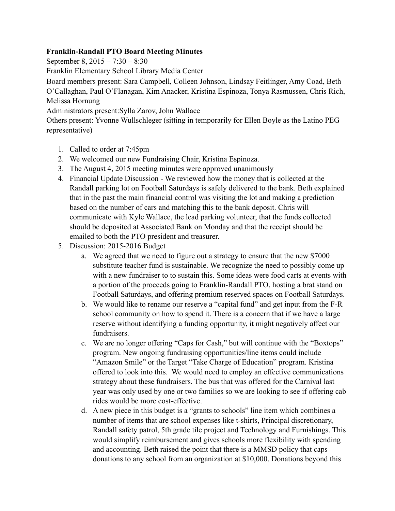## **Franklin-Randall PTO Board Meeting Minutes**

September 8, 2015 – 7:30 – 8:30

Franklin Elementary School Library Media Center

Board members present: Sara Campbell, Colleen Johnson, Lindsay Feitlinger, Amy Coad, Beth O'Callaghan, Paul O'Flanagan, Kim Anacker, Kristina Espinoza, Tonya Rasmussen, Chris Rich, Melissa Hornung

Administrators present:Sylla Zarov, John Wallace

Others present: Yvonne Wullschleger (sitting in temporarily for Ellen Boyle as the Latino PEG representative)

- 1. Called to order at 7:45pm
- 2. We welcomed our new Fundraising Chair, Kristina Espinoza.
- 3. The August 4, 2015 meeting minutes were approved unanimously
- 4. Financial Update Discussion We reviewed how the money that is collected at the Randall parking lot on Football Saturdays is safely delivered to the bank. Beth explained that in the past the main financial control was visiting the lot and making a prediction based on the number of cars and matching this to the bank deposit. Chris will communicate with Kyle Wallace, the lead parking volunteer, that the funds collected should be deposited at Associated Bank on Monday and that the receipt should be emailed to both the PTO president and treasurer.
- 5. Discussion: 2015-2016 Budget
	- a. We agreed that we need to figure out a strategy to ensure that the new \$7000 substitute teacher fund is sustainable. We recognize the need to possibly come up with a new fundraiser to to sustain this. Some ideas were food carts at events with a portion of the proceeds going to Franklin-Randall PTO, hosting a brat stand on Football Saturdays, and offering premium reserved spaces on Football Saturdays.
	- b. We would like to rename our reserve a "capital fund" and get input from the F-R school community on how to spend it. There is a concern that if we have a large reserve without identifying a funding opportunity, it might negatively affect our fundraisers.
	- c. We are no longer offering "Caps for Cash," but will continue with the "Boxtops" program. New ongoing fundraising opportunities/line items could include "Amazon Smile" or the Target "Take Charge of Education" program. Kristina offered to look into this. We would need to employ an effective communications strategy about these fundraisers. The bus that was offered for the Carnival last year was only used by one or two families so we are looking to see if offering cab rides would be more cost-effective.
	- d. A new piece in this budget is a "grants to schools" line item which combines a number of items that are school expenses like t-shirts, Principal discretionary, Randall safety patrol, 5th grade tile project and Technology and Furnishings. This would simplify reimbursement and gives schools more flexibility with spending and accounting. Beth raised the point that there is a MMSD policy that caps donations to any school from an organization at \$10,000. Donations beyond this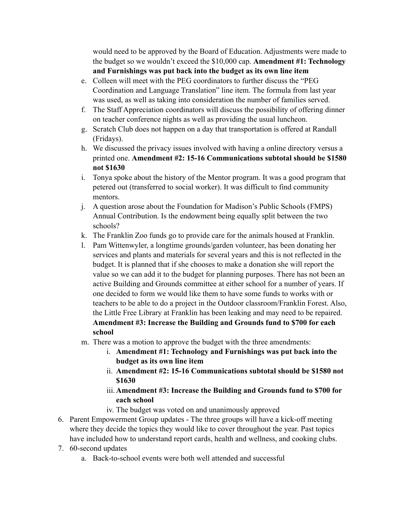would need to be approved by the Board of Education. Adjustments were made to the budget so we wouldn't exceed the \$10,000 cap. **Amendment #1: Technology and Furnishings was put back into the budget as its own line item**

- e. Colleen will meet with the PEG coordinators to further discuss the "PEG Coordination and Language Translation" line item. The formula from last year was used, as well as taking into consideration the number of families served.
- f. The Staff Appreciation coordinators will discuss the possibility of offering dinner on teacher conference nights as well as providing the usual luncheon.
- g. Scratch Club does not happen on a day that transportation is offered at Randall (Fridays).
- h. We discussed the privacy issues involved with having a online directory versus a printed one. **Amendment #2: 15-16 Communications subtotal should be \$1580 not \$1630**
- i. Tonya spoke about the history of the Mentor program. It was a good program that petered out (transferred to social worker). It was difficult to find community mentors.
- j. A question arose about the Foundation for Madison's Public Schools (FMPS) Annual Contribution. Is the endowment being equally split between the two schools?
- k. The Franklin Zoo funds go to provide care for the animals housed at Franklin.
- l. Pam Wittenwyler, a longtime grounds/garden volunteer, has been donating her services and plants and materials for several years and this is not reflected in the budget. It is planned that if she chooses to make a donation she will report the value so we can add it to the budget for planning purposes. There has not been an active Building and Grounds committee at either school for a number of years. If one decided to form we would like them to have some funds to works with or teachers to be able to do a project in the Outdoor classroom/Franklin Forest. Also, the Little Free Library at Franklin has been leaking and may need to be repaired. **Amendment #3: Increase the Building and Grounds fund to \$700 for each school**
- m. There was a motion to approve the budget with the three amendments:
	- i. **Amendment #1: Technology and Furnishings was put back into the budget as its own line item**
	- ii. **Amendment #2: 15-16 Communications subtotal should be \$1580 not \$1630**
	- iii. **Amendment #3: Increase the Building and Grounds fund to \$700 for each school**
	- iv. The budget was voted on and unanimously approved
- 6. Parent Empowerment Group updates The three groups will have a kick-off meeting where they decide the topics they would like to cover throughout the year. Past topics have included how to understand report cards, health and wellness, and cooking clubs.
- 7. 60-second updates
	- a. Back-to-school events were both well attended and successful